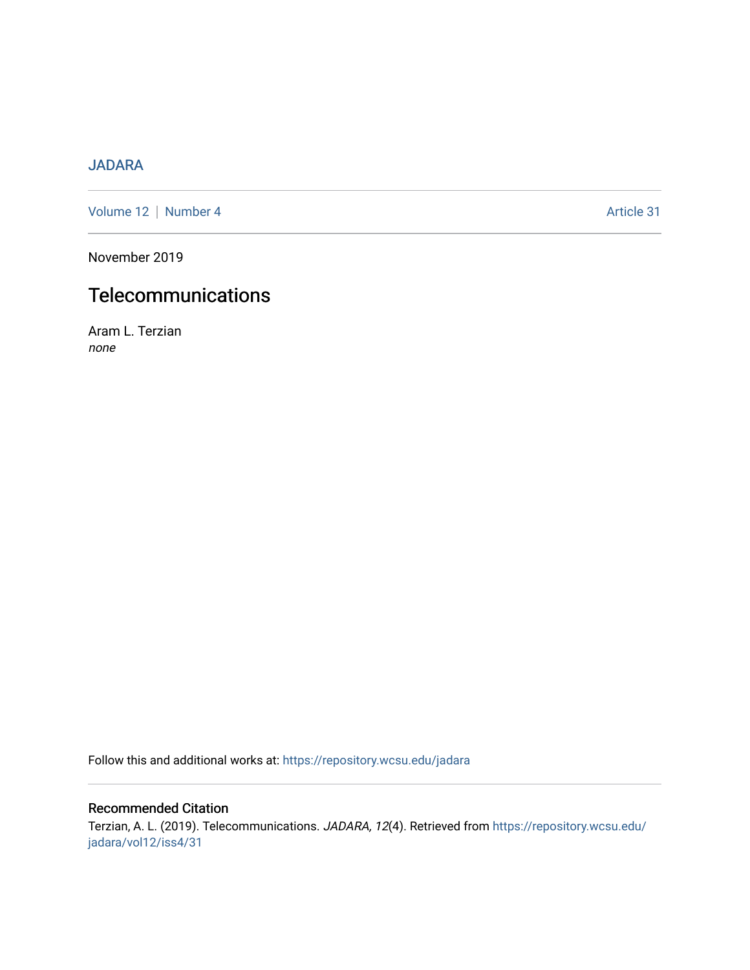# [JADARA](https://repository.wcsu.edu/jadara)

[Volume 12](https://repository.wcsu.edu/jadara/vol12) | [Number 4](https://repository.wcsu.edu/jadara/vol12/iss4) Article 31

November 2019

# **Telecommunications**

Aram L. Terzian none

Follow this and additional works at: [https://repository.wcsu.edu/jadara](https://repository.wcsu.edu/jadara?utm_source=repository.wcsu.edu%2Fjadara%2Fvol12%2Fiss4%2F31&utm_medium=PDF&utm_campaign=PDFCoverPages)

## Recommended Citation

Terzian, A. L. (2019). Telecommunications. JADARA, 12(4). Retrieved from [https://repository.wcsu.edu/](https://repository.wcsu.edu/jadara/vol12/iss4/31?utm_source=repository.wcsu.edu%2Fjadara%2Fvol12%2Fiss4%2F31&utm_medium=PDF&utm_campaign=PDFCoverPages) [jadara/vol12/iss4/31](https://repository.wcsu.edu/jadara/vol12/iss4/31?utm_source=repository.wcsu.edu%2Fjadara%2Fvol12%2Fiss4%2F31&utm_medium=PDF&utm_campaign=PDFCoverPages)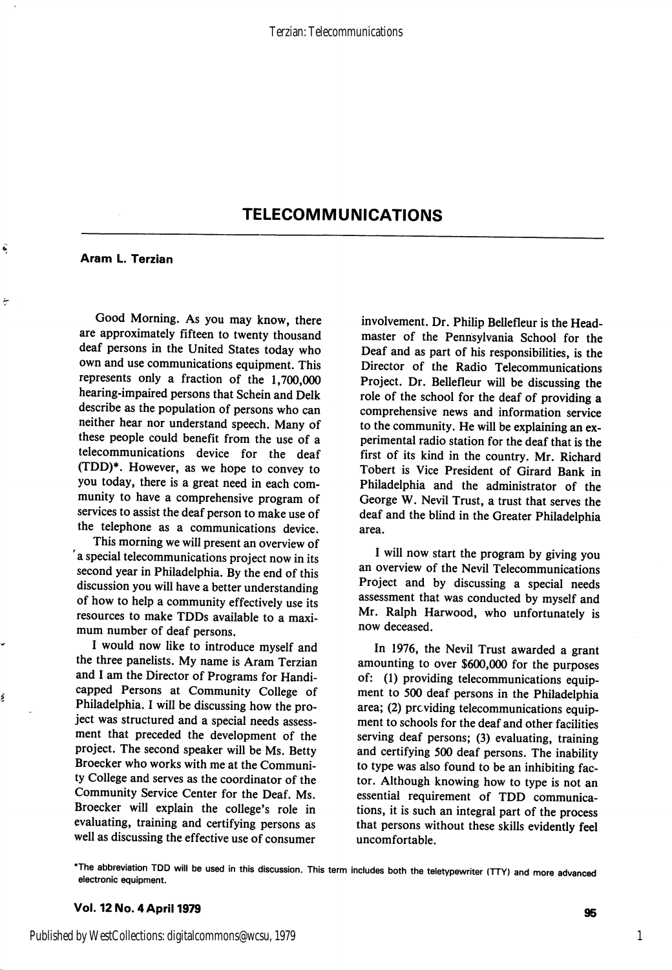## TELECOMMUNICATIONS

#### Aram L. Terzian

Ñ

ł

Ś

Good Morning. As you may know, there are approximately fifteen to twenty thousand deaf persons in the United States today who own and use communications equipment. This represents only a fraction of the 1,700,000 hearing-impaired persons that Schein and Delk describe as the population of persons who can neither hear nor understand speech. Many of these people could benefit from the use of a telecommunications device for the deaf (TDD)\*. However, as we hope to convey to you today, there is a great need in each com munity to have a comprehensive program of services to assist the deaf person to make use of the telephone as a communications device.

This morning we will present an overview of 'a special telecommunications project now in its second year in Philadelphia. By the end of this discussion you will have a better understanding of how to help a community effectively use its resources to make TDDs available to a maxi mum number of deaf persons.

I would now like to introduce myself and the three panelists. My name is Aram Terzian and I am the Director of Programs for Handi capped Persons at Community College of Philadelphia. I will be discussing how the pro ject was structured and a special needs assess ment that preceded the development of the project. The second speaker will be Ms. Betty Broecker who works with me at the Communi ty College and serves as the coordinator of the Community Service Center for the Deaf. Ms. Broecker will explain the college's role in evaluating, training and certifying persons as well as discussing the effective use of consumer

involvement. Dr. Philip Bellefleur is the Head master of the Pennsylvania School for the Deaf and as part of his responsibilities, is the Director of the Radio Telecommunications Project. Dr. Bellefleur will be discussing the role of the school for the deaf of providing a comprehensive news and information service to the community. He will be explaining an ex perimental radio station for the deaf that is the first of its kind in the country. Mr. Richard Tobert is Vice President of Girard Bank in Philadelphia and the administrator of the George W. Nevil Trust, a trust that serves the deaf and the blind in the Greater Philadelphia area.

I will now start the program by giving you an overview of the Nevil Telecommunications Project and by discussing a special needs assessment that was conducted by myself and Mr. Ralph Harwood, who unfortunately is now deceased.

In 1976, the Nevil Trust awarded a grant amounting to over \$600,000 for the purposes of: (1) providing telecommunications equip ment to 500 deaf persons in the Philadelphia area; (2) providing telecommunications equipment to schools for the deaf and other facilities serving deaf persons; (3) evaluating, training and certifying 500 deaf persons. The inability to type was also found to be an inhibiting fac tor. Although knowing how to type is not an essential requirement of TDD communica tions, it is such an integral part of the process that persons without these skills evidently feel uncomfortable.

\*The abbreviation TDD will be used in this discussion. This term includes both the teletypewriter (TTY) and more advanced electronic equipment.

#### Vol. 12 No. 4 April 1979

1